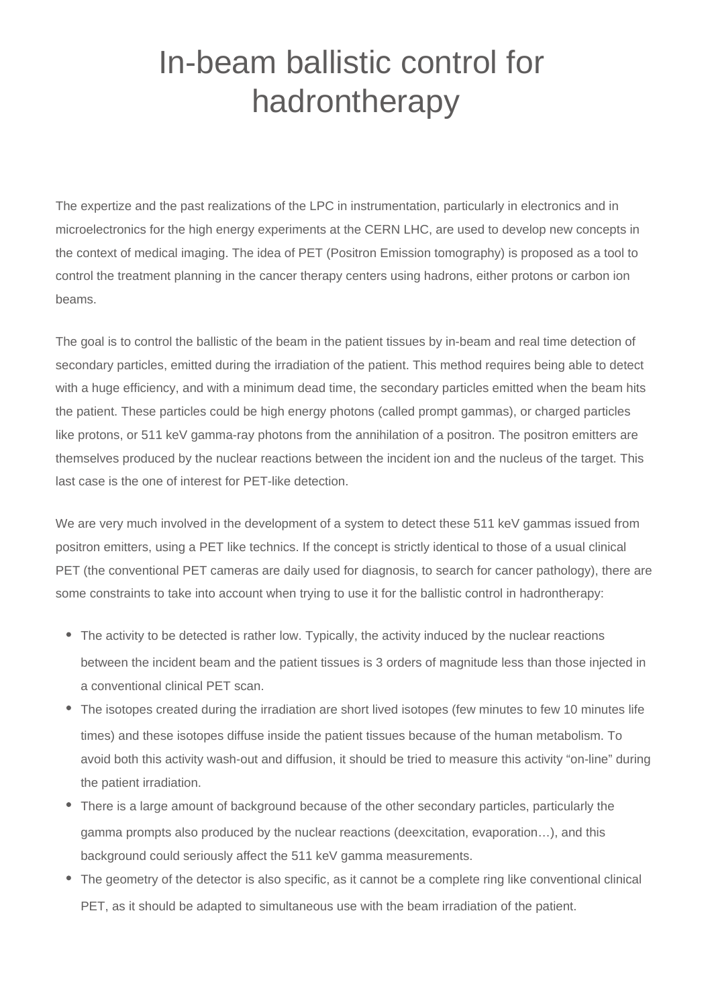## In-beam ballistic control for hadrontherapy

The expertize and the past realizations of the LPC in instrumentation, particularly in electronics and in microelectronics for the high energy experiments at the CERN LHC, are used to develop new concepts in the context of medical imaging. The idea of PET (Positron Emission tomography) is proposed as a tool to control the treatment planning in the cancer therapy centers using hadrons, either protons or carbon ion beams.

The goal is to control the ballistic of the beam in the patient tissues by in-beam and real time detection of secondary particles, emitted during the irradiation of the patient. This method requires being able to detect with a huge efficiency, and with a minimum dead time, the secondary particles emitted when the beam hits the patient. These particles could be high energy photons (called prompt gammas), or charged particles like protons, or 511 keV gamma-ray photons from the annihilation of a positron. The positron emitters are themselves produced by the nuclear reactions between the incident ion and the nucleus of the target. This last case is the one of interest for PET-like detection.

We are very much involved in the development of a system to detect these 511 keV gammas issued from positron emitters, using a PET like technics. If the concept is strictly identical to those of a usual clinical PET (the conventional PET cameras are daily used for diagnosis, to search for cancer pathology), there are some constraints to take into account when trying to use it for the ballistic control in hadrontherapy:

- The activity to be detected is rather low. Typically, the activity induced by the nuclear reactions between the incident beam and the patient tissues is 3 orders of magnitude less than those injected in a conventional clinical PET scan.
- The isotopes created during the irradiation are short lived isotopes (few minutes to few 10 minutes life times) and these isotopes diffuse inside the patient tissues because of the human metabolism. To avoid both this activity wash-out and diffusion, it should be tried to measure this activity "on-line" during the patient irradiation.
- There is a large amount of background because of the other secondary particles, particularly the gamma prompts also produced by the nuclear reactions (deexcitation, evaporation…), and this background could seriously affect the 511 keV gamma measurements.
- The geometry of the detector is also specific, as it cannot be a complete ring like conventional clinical PET, as it should be adapted to simultaneous use with the beam irradiation of the patient.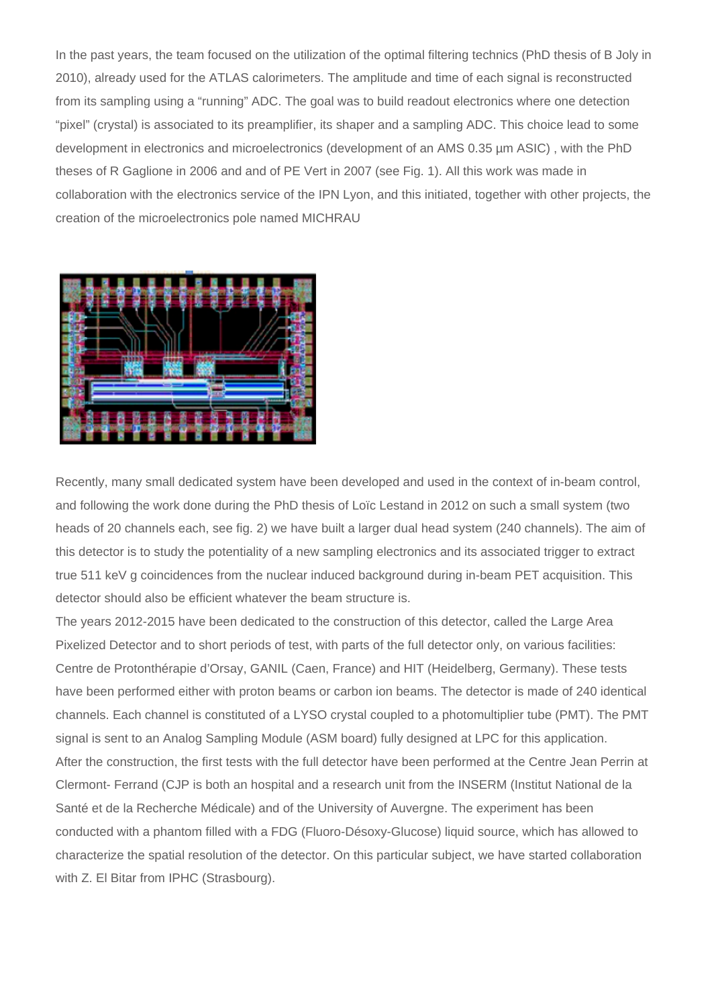In the past years, the team focused on the utilization of the optimal filtering technics (PhD thesis of B Joly in 2010), already used for the ATLAS calorimeters. The amplitude and time of each signal is reconstructed from its sampling using a "running" ADC. The goal was to build readout electronics where one detection "pixel" (crystal) is associated to its preamplifier, its shaper and a sampling ADC. This choice lead to some development in electronics and microelectronics (development of an AMS 0.35 µm ASIC) , with the PhD theses of R Gaglione in 2006 and and of PE Vert in 2007 (see Fig. 1). All this work was made in collaboration with the electronics service of the IPN Lyon, and this initiated, together with other projects, the creation of the microelectronics pole named MICHRAU



Recently, many small dedicated system have been developed and used in the context of in-beam control, and following the work done during the PhD thesis of Loïc Lestand in 2012 on such a small system (two heads of 20 channels each, see fig. 2) we have built a larger dual head system (240 channels). The aim of this detector is to study the potentiality of a new sampling electronics and its associated trigger to extract true 511 keV g coincidences from the nuclear induced background during in-beam PET acquisition. This detector should also be efficient whatever the beam structure is.

The years 2012-2015 have been dedicated to the construction of this detector, called the Large Area Pixelized Detector and to short periods of test, with parts of the full detector only, on various facilities: Centre de Protonthérapie d'Orsay, GANIL (Caen, France) and HIT (Heidelberg, Germany). These tests have been performed either with proton beams or carbon ion beams. The detector is made of 240 identical channels. Each channel is constituted of a LYSO crystal coupled to a photomultiplier tube (PMT). The PMT signal is sent to an Analog Sampling Module (ASM board) fully designed at LPC for this application. After the construction, the first tests with the full detector have been performed at the Centre Jean Perrin at Clermont- Ferrand (CJP is both an hospital and a research unit from the INSERM (Institut National de la Santé et de la Recherche Médicale) and of the University of Auvergne. The experiment has been conducted with a phantom filled with a FDG (Fluoro-Désoxy-Glucose) liquid source, which has allowed to characterize the spatial resolution of the detector. On this particular subject, we have started collaboration with Z. El Bitar from IPHC (Strasbourg).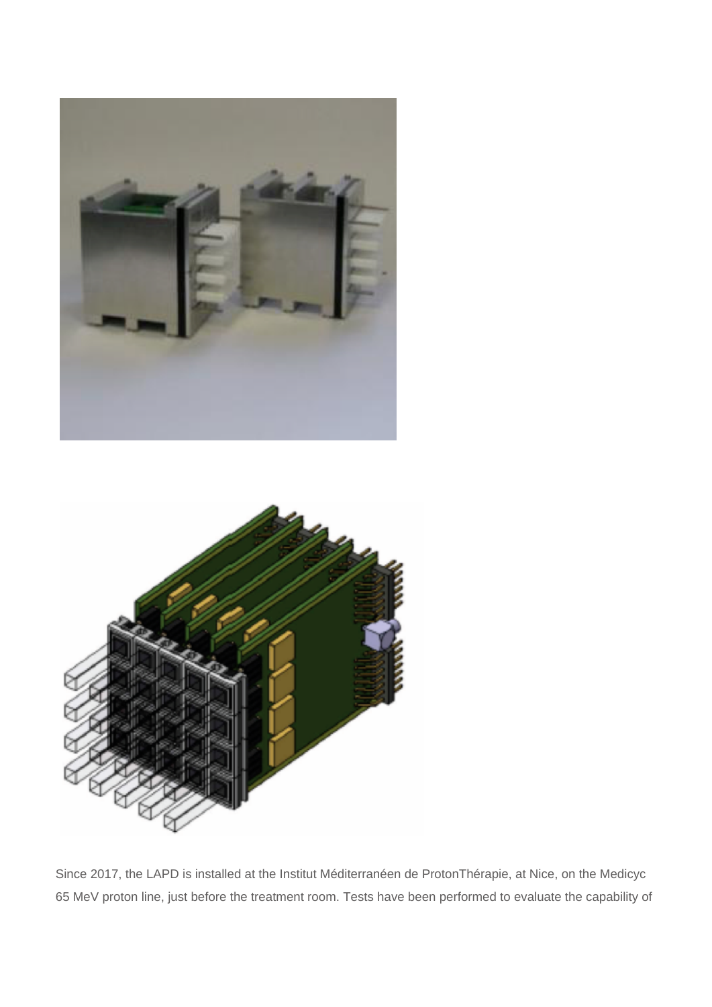



Since 2017, the LAPD is installed at the Institut Méditerranéen de ProtonThérapie, at Nice, on the Medicyc 65 MeV proton line, just before the treatment room. Tests have been performed to evaluate the capability of